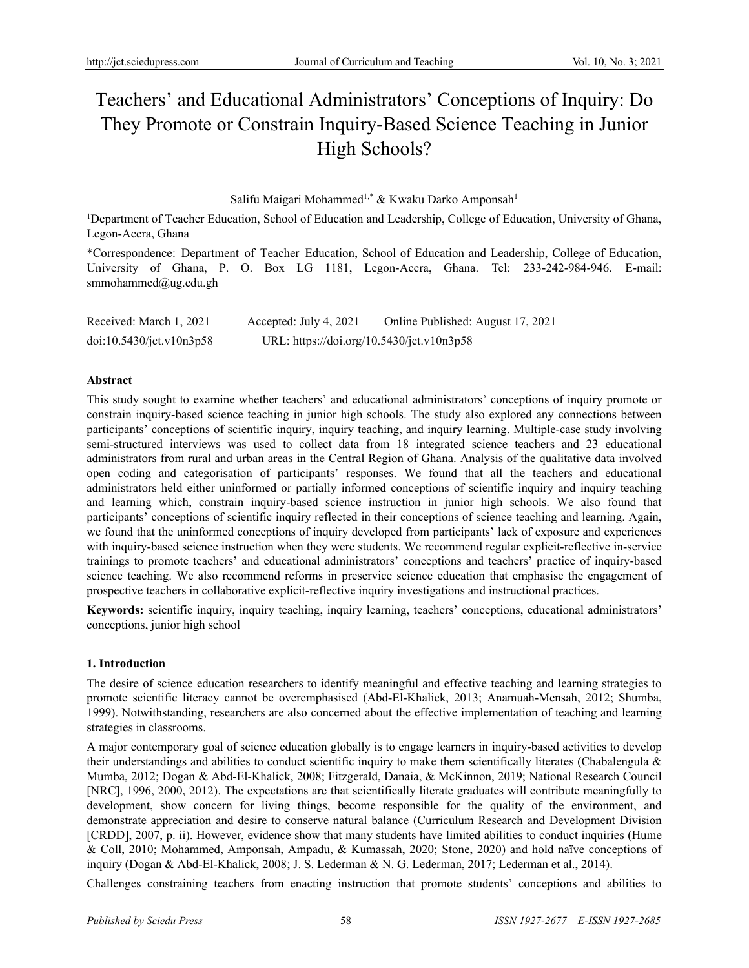# Teachers' and Educational Administrators' Conceptions of Inquiry: Do They Promote or Constrain Inquiry-Based Science Teaching in Junior High Schools?

Salifu Maigari Mohammed<sup>1,\*</sup> & Kwaku Darko Amponsah<sup>1</sup>

<sup>1</sup>Department of Teacher Education, School of Education and Leadership, College of Education, University of Ghana, Legon-Accra, Ghana

\*Correspondence: Department of Teacher Education, School of Education and Leadership, College of Education, University of Ghana, P. O. Box LG 1181, Legon-Accra, Ghana. Tel: 233-242-984-946. E-mail: smmohammed@ug.edu.gh

| Received: March 1, 2021  | Accepted: July 4, 2021                    | Online Published: August 17, 2021 |
|--------------------------|-------------------------------------------|-----------------------------------|
| doi:10.5430/jct.v10n3p58 | URL: https://doi.org/10.5430/jct.v10n3p58 |                                   |

# **Abstract**

This study sought to examine whether teachers' and educational administrators' conceptions of inquiry promote or constrain inquiry-based science teaching in junior high schools. The study also explored any connections between participants' conceptions of scientific inquiry, inquiry teaching, and inquiry learning. Multiple-case study involving semi-structured interviews was used to collect data from 18 integrated science teachers and 23 educational administrators from rural and urban areas in the Central Region of Ghana. Analysis of the qualitative data involved open coding and categorisation of participants' responses. We found that all the teachers and educational administrators held either uninformed or partially informed conceptions of scientific inquiry and inquiry teaching and learning which, constrain inquiry-based science instruction in junior high schools. We also found that participants' conceptions of scientific inquiry reflected in their conceptions of science teaching and learning. Again, we found that the uninformed conceptions of inquiry developed from participants' lack of exposure and experiences with inquiry-based science instruction when they were students. We recommend regular explicit-reflective in-service trainings to promote teachers' and educational administrators' conceptions and teachers' practice of inquiry-based science teaching. We also recommend reforms in preservice science education that emphasise the engagement of prospective teachers in collaborative explicit-reflective inquiry investigations and instructional practices.

**Keywords:** scientific inquiry, inquiry teaching, inquiry learning, teachers' conceptions, educational administrators' conceptions, junior high school

# **1. Introduction**

The desire of science education researchers to identify meaningful and effective teaching and learning strategies to promote scientific literacy cannot be overemphasised (Abd-El-Khalick, 2013; Anamuah-Mensah, 2012; Shumba, 1999). Notwithstanding, researchers are also concerned about the effective implementation of teaching and learning strategies in classrooms.

A major contemporary goal of science education globally is to engage learners in inquiry-based activities to develop their understandings and abilities to conduct scientific inquiry to make them scientifically literates (Chabalengula  $\&$ Mumba, 2012; Dogan & Abd-El-Khalick, 2008; Fitzgerald, Danaia, & McKinnon, 2019; National Research Council [NRC], 1996, 2000, 2012). The expectations are that scientifically literate graduates will contribute meaningfully to development, show concern for living things, become responsible for the quality of the environment, and demonstrate appreciation and desire to conserve natural balance (Curriculum Research and Development Division [CRDD], 2007, p. ii). However, evidence show that many students have limited abilities to conduct inquiries (Hume & Coll, 2010; Mohammed, Amponsah, Ampadu, & Kumassah, 2020; Stone, 2020) and hold naïve conceptions of inquiry (Dogan & Abd-El-Khalick, 2008; J. S. Lederman & N. G. Lederman, 2017; Lederman et al., 2014).

Challenges constraining teachers from enacting instruction that promote students' conceptions and abilities to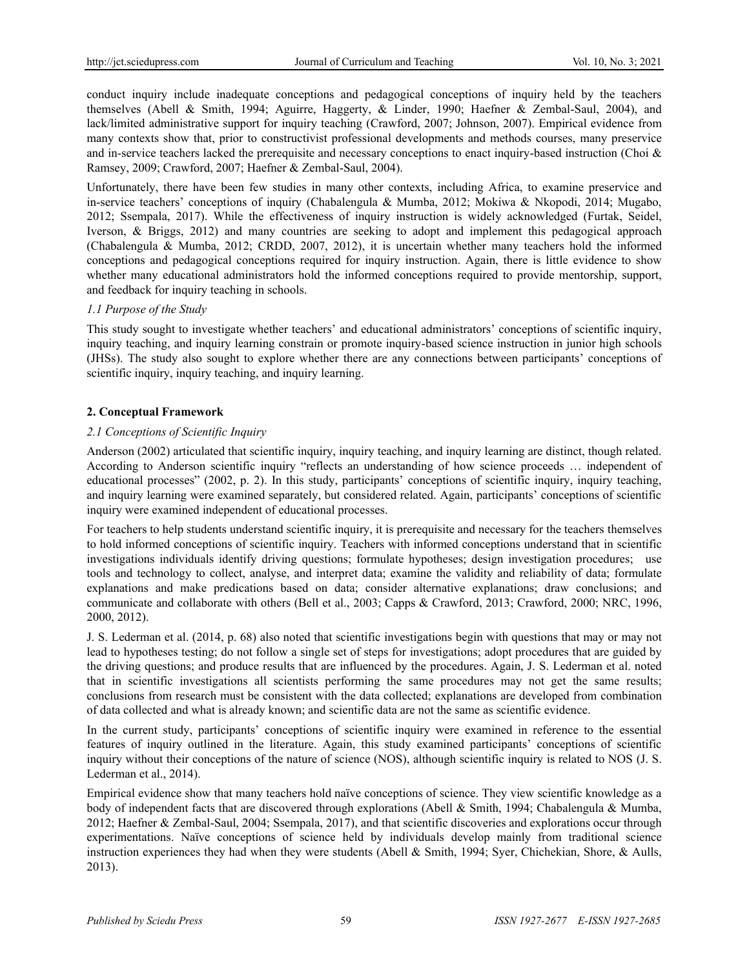conduct inquiry include inadequate conceptions and pedagogical conceptions of inquiry held by the teachers themselves (Abell & Smith, 1994; Aguirre, Haggerty, & Linder, 1990; Haefner & Zembal-Saul, 2004), and lack/limited administrative support for inquiry teaching (Crawford, 2007; Johnson, 2007). Empirical evidence from many contexts show that, prior to constructivist professional developments and methods courses, many preservice and in-service teachers lacked the prerequisite and necessary conceptions to enact inquiry-based instruction (Choi & Ramsey, 2009; Crawford, 2007; Haefner & Zembal-Saul, 2004).

Unfortunately, there have been few studies in many other contexts, including Africa, to examine preservice and in-service teachers' conceptions of inquiry (Chabalengula & Mumba, 2012; Mokiwa & Nkopodi, 2014; Mugabo, 2012; Ssempala, 2017). While the effectiveness of inquiry instruction is widely acknowledged (Furtak, Seidel, Iverson, & Briggs, 2012) and many countries are seeking to adopt and implement this pedagogical approach (Chabalengula & Mumba, 2012; CRDD, 2007, 2012), it is uncertain whether many teachers hold the informed conceptions and pedagogical conceptions required for inquiry instruction. Again, there is little evidence to show whether many educational administrators hold the informed conceptions required to provide mentorship, support, and feedback for inquiry teaching in schools.

# *1.1 Purpose of the Study*

This study sought to investigate whether teachers' and educational administrators' conceptions of scientific inquiry, inquiry teaching, and inquiry learning constrain or promote inquiry-based science instruction in junior high schools (JHSs). The study also sought to explore whether there are any connections between participants' conceptions of scientific inquiry, inquiry teaching, and inquiry learning.

# **2. Conceptual Framework**

# *2.1 Conceptions of Scientific Inquiry*

Anderson (2002) articulated that scientific inquiry, inquiry teaching, and inquiry learning are distinct, though related. According to Anderson scientific inquiry "reflects an understanding of how science proceeds … independent of educational processes" (2002, p. 2). In this study, participants' conceptions of scientific inquiry, inquiry teaching, and inquiry learning were examined separately, but considered related. Again, participants' conceptions of scientific inquiry were examined independent of educational processes.

For teachers to help students understand scientific inquiry, it is prerequisite and necessary for the teachers themselves to hold informed conceptions of scientific inquiry. Teachers with informed conceptions understand that in scientific investigations individuals identify driving questions; formulate hypotheses; design investigation procedures; use tools and technology to collect, analyse, and interpret data; examine the validity and reliability of data; formulate explanations and make predications based on data; consider alternative explanations; draw conclusions; and communicate and collaborate with others (Bell et al., 2003; Capps & Crawford, 2013; Crawford, 2000; NRC, 1996, 2000, 2012).

J. S. Lederman et al. (2014, p. 68) also noted that scientific investigations begin with questions that may or may not lead to hypotheses testing; do not follow a single set of steps for investigations; adopt procedures that are guided by the driving questions; and produce results that are influenced by the procedures. Again, J. S. Lederman et al. noted that in scientific investigations all scientists performing the same procedures may not get the same results; conclusions from research must be consistent with the data collected; explanations are developed from combination of data collected and what is already known; and scientific data are not the same as scientific evidence.

In the current study, participants' conceptions of scientific inquiry were examined in reference to the essential features of inquiry outlined in the literature. Again, this study examined participants' conceptions of scientific inquiry without their conceptions of the nature of science (NOS), although scientific inquiry is related to NOS (J. S. Lederman et al., 2014).

Empirical evidence show that many teachers hold naïve conceptions of science. They view scientific knowledge as a body of independent facts that are discovered through explorations (Abell & Smith, 1994; Chabalengula & Mumba, 2012; Haefner & Zembal-Saul, 2004; Ssempala, 2017), and that scientific discoveries and explorations occur through experimentations. Naïve conceptions of science held by individuals develop mainly from traditional science instruction experiences they had when they were students (Abell & Smith, 1994; Syer, Chichekian, Shore, & Aulls, 2013).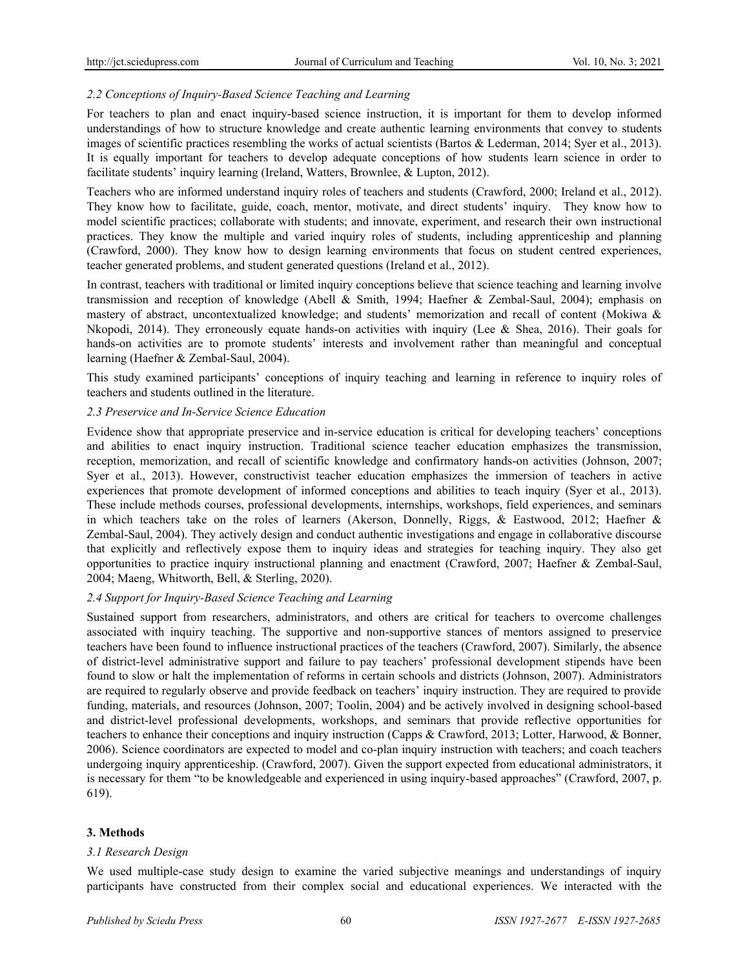# *2.2 Conceptions of Inquiry-Based Science Teaching and Learning*

For teachers to plan and enact inquiry-based science instruction, it is important for them to develop informed understandings of how to structure knowledge and create authentic learning environments that convey to students images of scientific practices resembling the works of actual scientists (Bartos & Lederman, 2014; Syer et al., 2013). It is equally important for teachers to develop adequate conceptions of how students learn science in order to facilitate students' inquiry learning (Ireland, Watters, Brownlee, & Lupton, 2012).

Teachers who are informed understand inquiry roles of teachers and students (Crawford, 2000; Ireland et al., 2012). They know how to facilitate, guide, coach, mentor, motivate, and direct students' inquiry. They know how to model scientific practices; collaborate with students; and innovate, experiment, and research their own instructional practices. They know the multiple and varied inquiry roles of students, including apprenticeship and planning (Crawford, 2000). They know how to design learning environments that focus on student centred experiences, teacher generated problems, and student generated questions (Ireland et al., 2012).

In contrast, teachers with traditional or limited inquiry conceptions believe that science teaching and learning involve transmission and reception of knowledge (Abell & Smith, 1994; Haefner & Zembal-Saul, 2004); emphasis on mastery of abstract, uncontextualized knowledge; and students' memorization and recall of content (Mokiwa & Nkopodi, 2014). They erroneously equate hands-on activities with inquiry (Lee & Shea, 2016). Their goals for hands-on activities are to promote students' interests and involvement rather than meaningful and conceptual learning (Haefner & Zembal-Saul, 2004).

This study examined participants' conceptions of inquiry teaching and learning in reference to inquiry roles of teachers and students outlined in the literature.

## *2.3 Preservice and In-Service Science Education*

Evidence show that appropriate preservice and in-service education is critical for developing teachers' conceptions and abilities to enact inquiry instruction. Traditional science teacher education emphasizes the transmission, reception, memorization, and recall of scientific knowledge and confirmatory hands-on activities (Johnson, 2007; Syer et al., 2013). However, constructivist teacher education emphasizes the immersion of teachers in active experiences that promote development of informed conceptions and abilities to teach inquiry (Syer et al., 2013). These include methods courses, professional developments, internships, workshops, field experiences, and seminars in which teachers take on the roles of learners (Akerson, Donnelly, Riggs, & Eastwood, 2012; Haefner & Zembal-Saul, 2004). They actively design and conduct authentic investigations and engage in collaborative discourse that explicitly and reflectively expose them to inquiry ideas and strategies for teaching inquiry. They also get opportunities to practice inquiry instructional planning and enactment (Crawford, 2007; Haefner & Zembal-Saul, 2004; Maeng, Whitworth, Bell, & Sterling, 2020).

## *2.4 Support for Inquiry-Based Science Teaching and Learning*

Sustained support from researchers, administrators, and others are critical for teachers to overcome challenges associated with inquiry teaching. The supportive and non-supportive stances of mentors assigned to preservice teachers have been found to influence instructional practices of the teachers (Crawford, 2007). Similarly, the absence of district-level administrative support and failure to pay teachers' professional development stipends have been found to slow or halt the implementation of reforms in certain schools and districts (Johnson, 2007). Administrators are required to regularly observe and provide feedback on teachers' inquiry instruction. They are required to provide funding, materials, and resources (Johnson, 2007; Toolin, 2004) and be actively involved in designing school-based and district-level professional developments, workshops, and seminars that provide reflective opportunities for teachers to enhance their conceptions and inquiry instruction (Capps & Crawford, 2013; Lotter, Harwood, & Bonner, 2006). Science coordinators are expected to model and co-plan inquiry instruction with teachers; and coach teachers undergoing inquiry apprenticeship. (Crawford, 2007). Given the support expected from educational administrators, it is necessary for them "to be knowledgeable and experienced in using inquiry-based approaches" (Crawford, 2007, p. 619).

## **3. Methods**

## *3.1 Research Design*

We used multiple-case study design to examine the varied subjective meanings and understandings of inquiry participants have constructed from their complex social and educational experiences. We interacted with the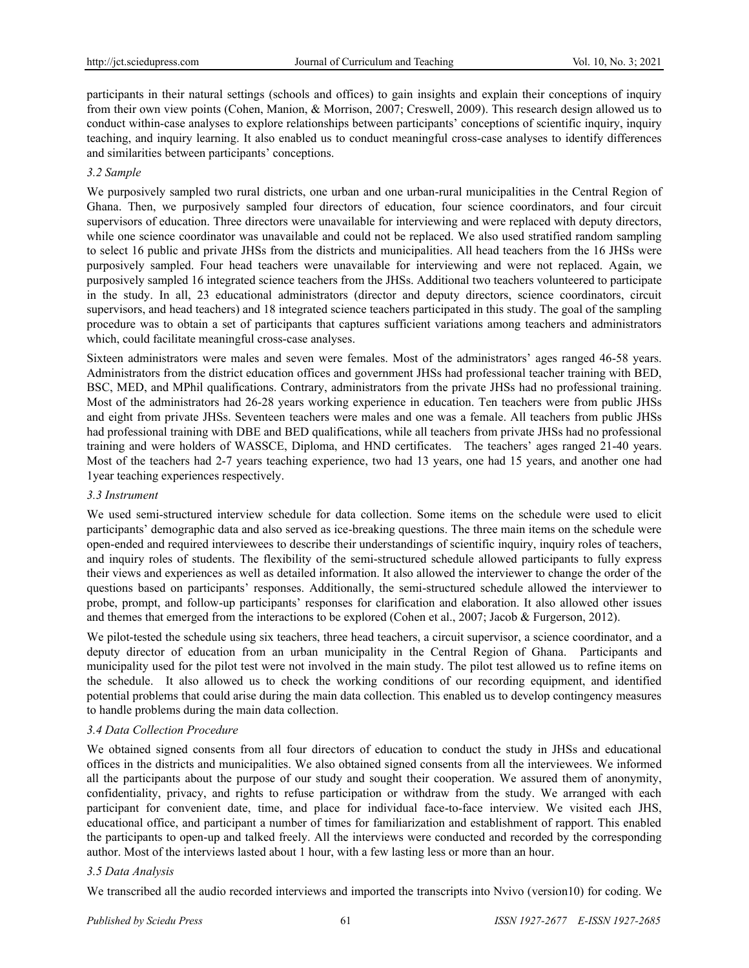participants in their natural settings (schools and offices) to gain insights and explain their conceptions of inquiry from their own view points (Cohen, Manion, & Morrison, 2007; Creswell, 2009). This research design allowed us to conduct within-case analyses to explore relationships between participants' conceptions of scientific inquiry, inquiry teaching, and inquiry learning. It also enabled us to conduct meaningful cross-case analyses to identify differences and similarities between participants' conceptions.

#### *3.2 Sample*

We purposively sampled two rural districts, one urban and one urban-rural municipalities in the Central Region of Ghana. Then, we purposively sampled four directors of education, four science coordinators, and four circuit supervisors of education. Three directors were unavailable for interviewing and were replaced with deputy directors, while one science coordinator was unavailable and could not be replaced. We also used stratified random sampling to select 16 public and private JHSs from the districts and municipalities. All head teachers from the 16 JHSs were purposively sampled. Four head teachers were unavailable for interviewing and were not replaced. Again, we purposively sampled 16 integrated science teachers from the JHSs. Additional two teachers volunteered to participate in the study. In all, 23 educational administrators (director and deputy directors, science coordinators, circuit supervisors, and head teachers) and 18 integrated science teachers participated in this study. The goal of the sampling procedure was to obtain a set of participants that captures sufficient variations among teachers and administrators which, could facilitate meaningful cross-case analyses.

Sixteen administrators were males and seven were females. Most of the administrators' ages ranged 46-58 years. Administrators from the district education offices and government JHSs had professional teacher training with BED, BSC, MED, and MPhil qualifications. Contrary, administrators from the private JHSs had no professional training. Most of the administrators had 26-28 years working experience in education. Ten teachers were from public JHSs and eight from private JHSs. Seventeen teachers were males and one was a female. All teachers from public JHSs had professional training with DBE and BED qualifications, while all teachers from private JHSs had no professional training and were holders of WASSCE, Diploma, and HND certificates. The teachers' ages ranged 21-40 years. Most of the teachers had 2-7 years teaching experience, two had 13 years, one had 15 years, and another one had 1year teaching experiences respectively.

## *3.3 Instrument*

We used semi-structured interview schedule for data collection. Some items on the schedule were used to elicit participants' demographic data and also served as ice-breaking questions. The three main items on the schedule were open-ended and required interviewees to describe their understandings of scientific inquiry, inquiry roles of teachers, and inquiry roles of students. The flexibility of the semi-structured schedule allowed participants to fully express their views and experiences as well as detailed information. It also allowed the interviewer to change the order of the questions based on participants' responses. Additionally, the semi-structured schedule allowed the interviewer to probe, prompt, and follow-up participants' responses for clarification and elaboration. It also allowed other issues and themes that emerged from the interactions to be explored (Cohen et al., 2007; Jacob & Furgerson, 2012).

We pilot-tested the schedule using six teachers, three head teachers, a circuit supervisor, a science coordinator, and a deputy director of education from an urban municipality in the Central Region of Ghana. Participants and municipality used for the pilot test were not involved in the main study. The pilot test allowed us to refine items on the schedule. It also allowed us to check the working conditions of our recording equipment, and identified potential problems that could arise during the main data collection. This enabled us to develop contingency measures to handle problems during the main data collection.

## *3.4 Data Collection Procedure*

We obtained signed consents from all four directors of education to conduct the study in JHSs and educational offices in the districts and municipalities. We also obtained signed consents from all the interviewees. We informed all the participants about the purpose of our study and sought their cooperation. We assured them of anonymity, confidentiality, privacy, and rights to refuse participation or withdraw from the study. We arranged with each participant for convenient date, time, and place for individual face-to-face interview. We visited each JHS, educational office, and participant a number of times for familiarization and establishment of rapport. This enabled the participants to open-up and talked freely. All the interviews were conducted and recorded by the corresponding author. Most of the interviews lasted about 1 hour, with a few lasting less or more than an hour.

## *3.5 Data Analysis*

We transcribed all the audio recorded interviews and imported the transcripts into Nvivo (version10) for coding. We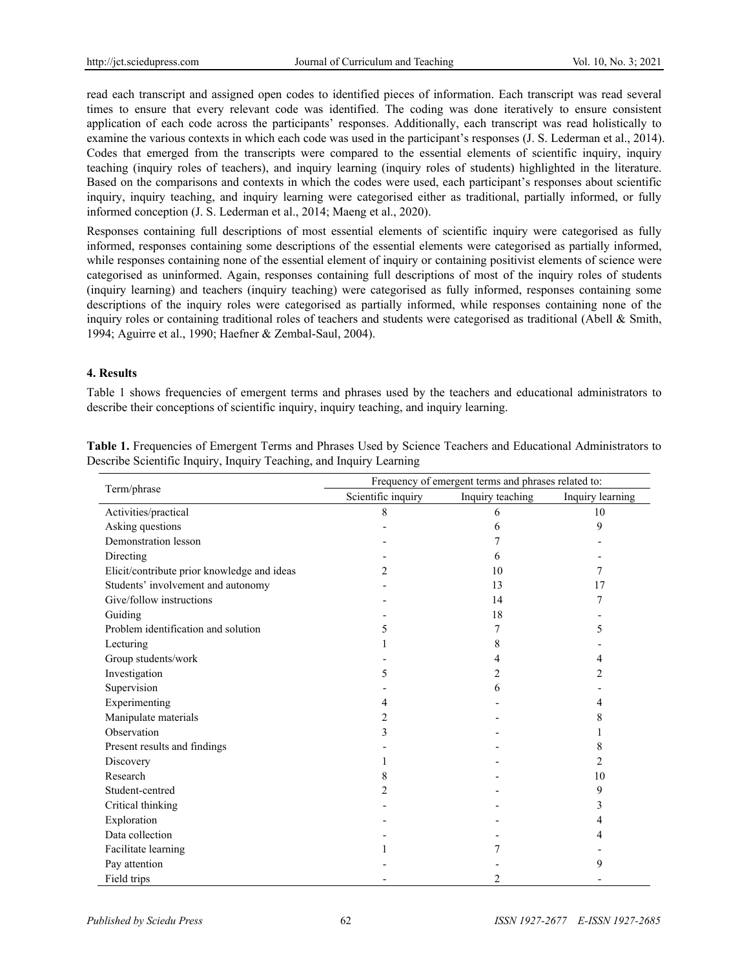read each transcript and assigned open codes to identified pieces of information. Each transcript was read several times to ensure that every relevant code was identified. The coding was done iteratively to ensure consistent application of each code across the participants' responses. Additionally, each transcript was read holistically to examine the various contexts in which each code was used in the participant's responses (J. S. Lederman et al., 2014). Codes that emerged from the transcripts were compared to the essential elements of scientific inquiry, inquiry teaching (inquiry roles of teachers), and inquiry learning (inquiry roles of students) highlighted in the literature. Based on the comparisons and contexts in which the codes were used, each participant's responses about scientific inquiry, inquiry teaching, and inquiry learning were categorised either as traditional, partially informed, or fully informed conception (J. S. Lederman et al., 2014; Maeng et al., 2020).

Responses containing full descriptions of most essential elements of scientific inquiry were categorised as fully informed, responses containing some descriptions of the essential elements were categorised as partially informed, while responses containing none of the essential element of inquiry or containing positivist elements of science were categorised as uninformed. Again, responses containing full descriptions of most of the inquiry roles of students (inquiry learning) and teachers (inquiry teaching) were categorised as fully informed, responses containing some descriptions of the inquiry roles were categorised as partially informed, while responses containing none of the inquiry roles or containing traditional roles of teachers and students were categorised as traditional (Abell & Smith, 1994; Aguirre et al., 1990; Haefner & Zembal-Saul, 2004).

#### **4. Results**

Table 1 shows frequencies of emergent terms and phrases used by the teachers and educational administrators to describe their conceptions of scientific inquiry, inquiry teaching, and inquiry learning.

|                                             | Frequency of emergent terms and phrases related to: |                  |                  |
|---------------------------------------------|-----------------------------------------------------|------------------|------------------|
| Term/phrase                                 | Scientific inquiry                                  | Inquiry teaching | Inquiry learning |
| Activities/practical                        | 8                                                   | 6                | 10               |
| Asking questions                            |                                                     | 6                | 9                |
| Demonstration lesson                        |                                                     |                  |                  |
| Directing                                   |                                                     | 6                |                  |
| Elicit/contribute prior knowledge and ideas | 2                                                   | 10               |                  |
| Students' involvement and autonomy          |                                                     | 13               | 17               |
| Give/follow instructions                    |                                                     | 14               |                  |
| Guiding                                     |                                                     | 18               |                  |
| Problem identification and solution         | 5                                                   | 7                | 5                |
| Lecturing                                   |                                                     | 8                |                  |
| Group students/work                         |                                                     | 4                | 4                |
| Investigation                               | 5                                                   | 2                |                  |
| Supervision                                 |                                                     | 6                |                  |
| Experimenting                               | 4                                                   |                  |                  |
| Manipulate materials                        | 2                                                   |                  | 8                |
| Observation                                 | 3                                                   |                  |                  |
| Present results and findings                |                                                     |                  | 8                |
| Discovery                                   |                                                     |                  | 2                |
| Research                                    | 8                                                   |                  | 10               |
| Student-centred                             | 2                                                   |                  | 9                |
| Critical thinking                           |                                                     |                  | 3                |
| Exploration                                 |                                                     |                  | 4                |
| Data collection                             |                                                     |                  |                  |
| Facilitate learning                         |                                                     |                  |                  |
| Pay attention                               |                                                     |                  | 9                |
| Field trips                                 |                                                     | 2                |                  |

**Table 1.** Frequencies of Emergent Terms and Phrases Used by Science Teachers and Educational Administrators to Describe Scientific Inquiry, Inquiry Teaching, and Inquiry Learning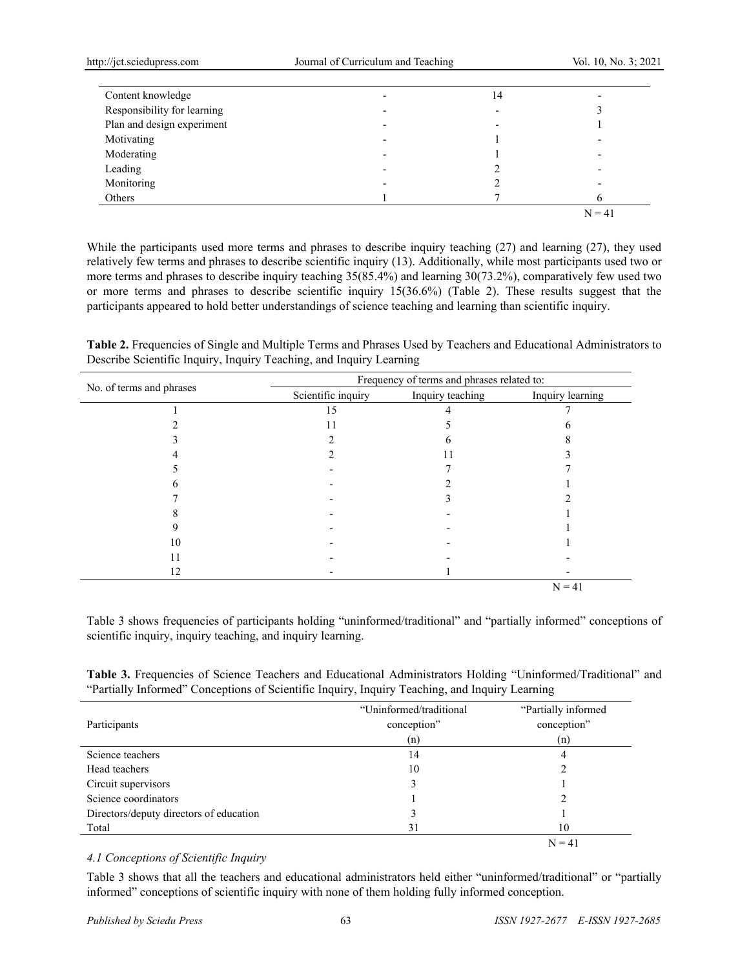| Content knowledge           | 14 |          |
|-----------------------------|----|----------|
| Responsibility for learning |    |          |
| Plan and design experiment  |    |          |
| Motivating                  |    |          |
| Moderating                  |    |          |
| Leading                     |    |          |
| Monitoring                  |    |          |
| Others                      |    |          |
|                             |    | $N = 41$ |

While the participants used more terms and phrases to describe inquiry teaching (27) and learning (27), they used relatively few terms and phrases to describe scientific inquiry (13). Additionally, while most participants used two or more terms and phrases to describe inquiry teaching 35(85.4%) and learning 30(73.2%), comparatively few used two or more terms and phrases to describe scientific inquiry 15(36.6%) (Table 2). These results suggest that the participants appeared to hold better understandings of science teaching and learning than scientific inquiry.

**Table 2.** Frequencies of Single and Multiple Terms and Phrases Used by Teachers and Educational Administrators to Describe Scientific Inquiry, Inquiry Teaching, and Inquiry Learning

|                          | Frequency of terms and phrases related to: |                  |                  |
|--------------------------|--------------------------------------------|------------------|------------------|
| No. of terms and phrases | Scientific inquiry                         | Inquiry teaching | Inquiry learning |
|                          | 15                                         |                  |                  |
|                          |                                            |                  |                  |
|                          |                                            |                  |                  |
|                          |                                            |                  |                  |
|                          |                                            |                  |                  |
|                          |                                            |                  |                  |
|                          |                                            |                  |                  |
|                          |                                            |                  |                  |
|                          |                                            |                  |                  |
| 10                       |                                            |                  |                  |
|                          |                                            |                  |                  |
| 12                       |                                            |                  |                  |
|                          |                                            |                  | $N = 41$         |

Table 3 shows frequencies of participants holding "uninformed/traditional" and "partially informed" conceptions of scientific inquiry, inquiry teaching, and inquiry learning.

**Table 3.** Frequencies of Science Teachers and Educational Administrators Holding "Uninformed/Traditional" and "Partially Informed" Conceptions of Scientific Inquiry, Inquiry Teaching, and Inquiry Learning

| Participants                            | "Uninformed/traditional<br>conception" | "Partially informed<br>conception" |
|-----------------------------------------|----------------------------------------|------------------------------------|
|                                         | (n)                                    | (n)                                |
| Science teachers                        | 14                                     | 4                                  |
| Head teachers                           | 10                                     |                                    |
| Circuit supervisors                     |                                        |                                    |
| Science coordinators                    |                                        |                                    |
| Directors/deputy directors of education |                                        |                                    |
| Total                                   | 31                                     | 10                                 |
|                                         |                                        | $N = 41$                           |

## *4.1 Conceptions of Scientific Inquiry*

Table 3 shows that all the teachers and educational administrators held either "uninformed/traditional" or "partially informed" conceptions of scientific inquiry with none of them holding fully informed conception.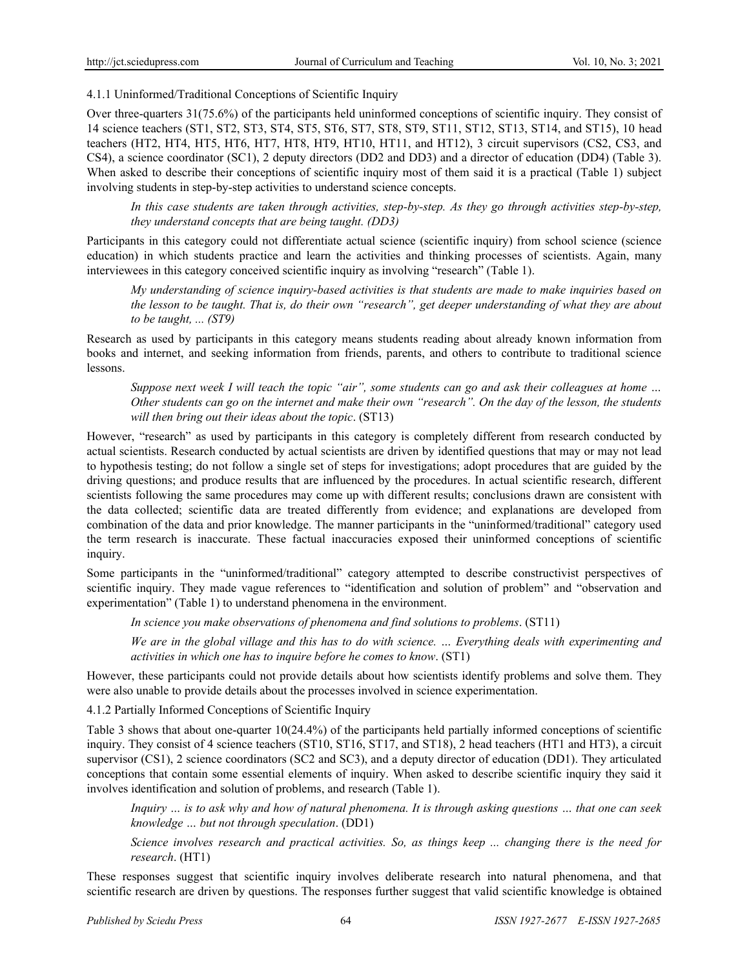## 4.1.1 Uninformed/Traditional Conceptions of Scientific Inquiry

Over three-quarters 31(75.6%) of the participants held uninformed conceptions of scientific inquiry. They consist of 14 science teachers (ST1, ST2, ST3, ST4, ST5, ST6, ST7, ST8, ST9, ST11, ST12, ST13, ST14, and ST15), 10 head teachers (HT2, HT4, HT5, HT6, HT7, HT8, HT9, HT10, HT11, and HT12), 3 circuit supervisors (CS2, CS3, and CS4), a science coordinator (SC1), 2 deputy directors (DD2 and DD3) and a director of education (DD4) (Table 3). When asked to describe their conceptions of scientific inquiry most of them said it is a practical (Table 1) subject involving students in step-by-step activities to understand science concepts.

*In this case students are taken through activities, step-by-step. As they go through activities step-by-step, they understand concepts that are being taught. (DD3)*

Participants in this category could not differentiate actual science (scientific inquiry) from school science (science education) in which students practice and learn the activities and thinking processes of scientists. Again, many interviewees in this category conceived scientific inquiry as involving "research" (Table 1).

*My understanding of science inquiry-based activities is that students are made to make inquiries based on the lesson to be taught. That is, do their own "research", get deeper understanding of what they are about to be taught, ... (ST9)*

Research as used by participants in this category means students reading about already known information from books and internet, and seeking information from friends, parents, and others to contribute to traditional science lessons.

*Suppose next week I will teach the topic "air", some students can go and ask their colleagues at home … Other students can go on the internet and make their own "research". On the day of the lesson, the students will then bring out their ideas about the topic*. (ST13)

However, "research" as used by participants in this category is completely different from research conducted by actual scientists. Research conducted by actual scientists are driven by identified questions that may or may not lead to hypothesis testing; do not follow a single set of steps for investigations; adopt procedures that are guided by the driving questions; and produce results that are influenced by the procedures. In actual scientific research, different scientists following the same procedures may come up with different results; conclusions drawn are consistent with the data collected; scientific data are treated differently from evidence; and explanations are developed from combination of the data and prior knowledge. The manner participants in the "uninformed/traditional" category used the term research is inaccurate. These factual inaccuracies exposed their uninformed conceptions of scientific inquiry.

Some participants in the "uninformed/traditional" category attempted to describe constructivist perspectives of scientific inquiry. They made vague references to "identification and solution of problem" and "observation and experimentation" (Table 1) to understand phenomena in the environment.

*In science you make observations of phenomena and find solutions to problems*. (ST11)

*We are in the global village and this has to do with science. … Everything deals with experimenting and activities in which one has to inquire before he comes to know*. (ST1)

However, these participants could not provide details about how scientists identify problems and solve them. They were also unable to provide details about the processes involved in science experimentation.

4.1.2 Partially Informed Conceptions of Scientific Inquiry

Table 3 shows that about one-quarter 10(24.4%) of the participants held partially informed conceptions of scientific inquiry. They consist of 4 science teachers (ST10, ST16, ST17, and ST18), 2 head teachers (HT1 and HT3), a circuit supervisor (CS1), 2 science coordinators (SC2 and SC3), and a deputy director of education (DD1). They articulated conceptions that contain some essential elements of inquiry. When asked to describe scientific inquiry they said it involves identification and solution of problems, and research (Table 1).

*Inquiry … is to ask why and how of natural phenomena. It is through asking questions … that one can seek knowledge … but not through speculation*. (DD1)

*Science involves research and practical activities. So, as things keep ... changing there is the need for research*. (HT1)

These responses suggest that scientific inquiry involves deliberate research into natural phenomena, and that scientific research are driven by questions. The responses further suggest that valid scientific knowledge is obtained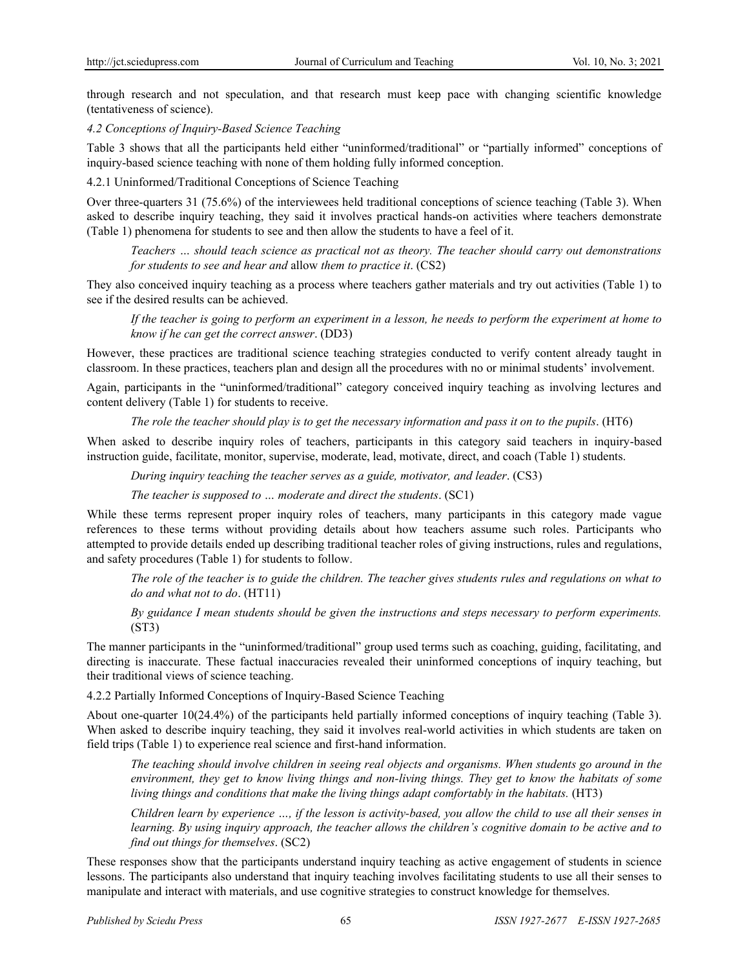through research and not speculation, and that research must keep pace with changing scientific knowledge (tentativeness of science).

*4.2 Conceptions of Inquiry-Based Science Teaching*

Table 3 shows that all the participants held either "uninformed/traditional" or "partially informed" conceptions of inquiry-based science teaching with none of them holding fully informed conception.

4.2.1 Uninformed/Traditional Conceptions of Science Teaching

Over three-quarters 31 (75.6%) of the interviewees held traditional conceptions of science teaching (Table 3). When asked to describe inquiry teaching, they said it involves practical hands-on activities where teachers demonstrate (Table 1) phenomena for students to see and then allow the students to have a feel of it.

*Teachers … should teach science as practical not as theory. The teacher should carry out demonstrations for students to see and hear and* allow *them to practice it*. (CS2)

They also conceived inquiry teaching as a process where teachers gather materials and try out activities (Table 1) to see if the desired results can be achieved.

*If the teacher is going to perform an experiment in a lesson, he needs to perform the experiment at home to know if he can get the correct answer*. (DD3)

However, these practices are traditional science teaching strategies conducted to verify content already taught in classroom. In these practices, teachers plan and design all the procedures with no or minimal students' involvement.

Again, participants in the "uninformed/traditional" category conceived inquiry teaching as involving lectures and content delivery (Table 1) for students to receive.

*The role the teacher should play is to get the necessary information and pass it on to the pupils*. (HT6)

When asked to describe inquiry roles of teachers, participants in this category said teachers in inquiry-based instruction guide, facilitate, monitor, supervise, moderate, lead, motivate, direct, and coach (Table 1) students.

*During inquiry teaching the teacher serves as a guide, motivator, and leader*. (CS3)

*The teacher is supposed to … moderate and direct the students*. (SC1)

While these terms represent proper inquiry roles of teachers, many participants in this category made vague references to these terms without providing details about how teachers assume such roles. Participants who attempted to provide details ended up describing traditional teacher roles of giving instructions, rules and regulations, and safety procedures (Table 1) for students to follow.

*The role of the teacher is to guide the children. The teacher gives students rules and regulations on what to do and what not to do*. (HT11)

*By guidance I mean students should be given the instructions and steps necessary to perform experiments.* (ST3)

The manner participants in the "uninformed/traditional" group used terms such as coaching, guiding, facilitating, and directing is inaccurate. These factual inaccuracies revealed their uninformed conceptions of inquiry teaching, but their traditional views of science teaching.

4.2.2 Partially Informed Conceptions of Inquiry-Based Science Teaching

About one-quarter 10(24.4%) of the participants held partially informed conceptions of inquiry teaching (Table 3). When asked to describe inquiry teaching, they said it involves real-world activities in which students are taken on field trips (Table 1) to experience real science and first-hand information.

*The teaching should involve children in seeing real objects and organisms. When students go around in the environment, they get to know living things and non-living things. They get to know the habitats of some living things and conditions that make the living things adapt comfortably in the habitats.* (HT3)

*Children learn by experience …, if the lesson is activity-based, you allow the child to use all their senses in learning. By using inquiry approach, the teacher allows the children's cognitive domain to be active and to find out things for themselves*. (SC2)

These responses show that the participants understand inquiry teaching as active engagement of students in science lessons. The participants also understand that inquiry teaching involves facilitating students to use all their senses to manipulate and interact with materials, and use cognitive strategies to construct knowledge for themselves.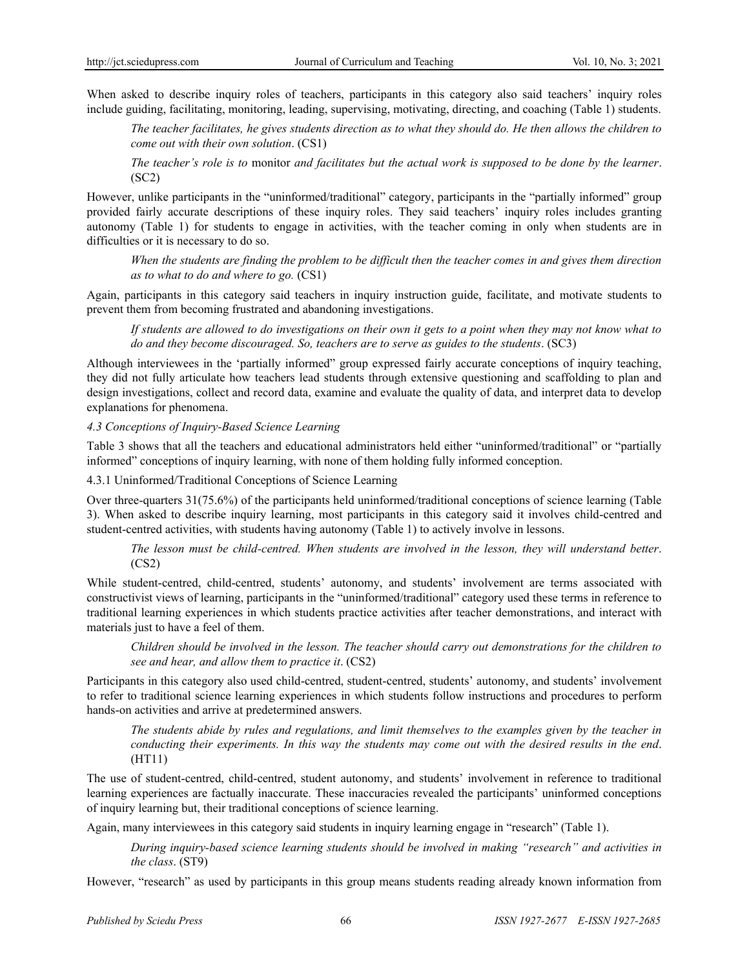When asked to describe inquiry roles of teachers, participants in this category also said teachers' inquiry roles include guiding, facilitating, monitoring, leading, supervising, motivating, directing, and coaching (Table 1) students.

*The teacher facilitates, he gives students direction as to what they should do. He then allows the children to come out with their own solution*. (CS1)

*The teacher's role is to* monitor *and facilitates but the actual work is supposed to be done by the learner*. (SC2)

However, unlike participants in the "uninformed/traditional" category, participants in the "partially informed" group provided fairly accurate descriptions of these inquiry roles. They said teachers' inquiry roles includes granting autonomy (Table 1) for students to engage in activities, with the teacher coming in only when students are in difficulties or it is necessary to do so.

*When the students are finding the problem to be difficult then the teacher comes in and gives them direction as to what to do and where to go.* (CS1)

Again, participants in this category said teachers in inquiry instruction guide, facilitate, and motivate students to prevent them from becoming frustrated and abandoning investigations.

*If students are allowed to do investigations on their own it gets to a point when they may not know what to do and they become discouraged. So, teachers are to serve as guides to the students*. (SC3)

Although interviewees in the 'partially informed" group expressed fairly accurate conceptions of inquiry teaching, they did not fully articulate how teachers lead students through extensive questioning and scaffolding to plan and design investigations, collect and record data, examine and evaluate the quality of data, and interpret data to develop explanations for phenomena.

## *4.3 Conceptions of Inquiry-Based Science Learning*

Table 3 shows that all the teachers and educational administrators held either "uninformed/traditional" or "partially informed" conceptions of inquiry learning, with none of them holding fully informed conception.

4.3.1 Uninformed/Traditional Conceptions of Science Learning

Over three-quarters 31(75.6%) of the participants held uninformed/traditional conceptions of science learning (Table 3). When asked to describe inquiry learning, most participants in this category said it involves child-centred and student-centred activities, with students having autonomy (Table 1) to actively involve in lessons.

*The lesson must be child-centred. When students are involved in the lesson, they will understand better*. (CS2)

While student-centred, child-centred, students' autonomy, and students' involvement are terms associated with constructivist views of learning, participants in the "uninformed/traditional" category used these terms in reference to traditional learning experiences in which students practice activities after teacher demonstrations, and interact with materials just to have a feel of them.

*Children should be involved in the lesson. The teacher should carry out demonstrations for the children to see and hear, and allow them to practice it*. (CS2)

Participants in this category also used child-centred, student-centred, students' autonomy, and students' involvement to refer to traditional science learning experiences in which students follow instructions and procedures to perform hands-on activities and arrive at predetermined answers.

*The students abide by rules and regulations, and limit themselves to the examples given by the teacher in conducting their experiments. In this way the students may come out with the desired results in the end.* (HT11)

The use of student-centred, child-centred, student autonomy, and students' involvement in reference to traditional learning experiences are factually inaccurate. These inaccuracies revealed the participants' uninformed conceptions of inquiry learning but, their traditional conceptions of science learning.

Again, many interviewees in this category said students in inquiry learning engage in "research" (Table 1).

*During inquiry-based science learning students should be involved in making "research" and activities in the class*. (ST9)

However, "research" as used by participants in this group means students reading already known information from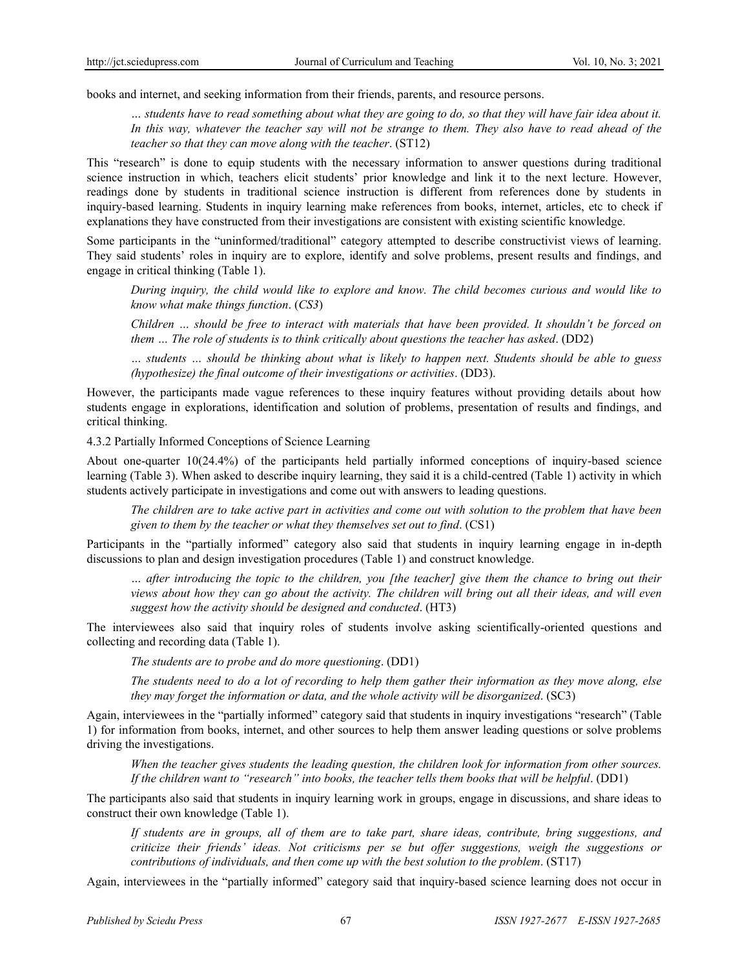books and internet, and seeking information from their friends, parents, and resource persons.

*… students have to read something about what they are going to do, so that they will have fair idea about it. In this way, whatever the teacher say will not be strange to them. They also have to read ahead of the teacher so that they can move along with the teacher*. (ST12)

This "research" is done to equip students with the necessary information to answer questions during traditional science instruction in which, teachers elicit students' prior knowledge and link it to the next lecture. However, readings done by students in traditional science instruction is different from references done by students in inquiry-based learning. Students in inquiry learning make references from books, internet, articles, etc to check if explanations they have constructed from their investigations are consistent with existing scientific knowledge.

Some participants in the "uninformed/traditional" category attempted to describe constructivist views of learning. They said students' roles in inquiry are to explore, identify and solve problems, present results and findings, and engage in critical thinking (Table 1).

*During inquiry, the child would like to explore and know. The child becomes curious and would like to know what make things function*. (*CS3*)

*Children … should be free to interact with materials that have been provided. It shouldn't be forced on them … The role of students is to think critically about questions the teacher has asked*. (DD2)

*… students … should be thinking about what is likely to happen next. Students should be able to guess (hypothesize) the final outcome of their investigations or activities*. (DD3).

However, the participants made vague references to these inquiry features without providing details about how students engage in explorations, identification and solution of problems, presentation of results and findings, and critical thinking.

4.3.2 Partially Informed Conceptions of Science Learning

About one-quarter 10(24.4%) of the participants held partially informed conceptions of inquiry-based science learning (Table 3). When asked to describe inquiry learning, they said it is a child-centred (Table 1) activity in which students actively participate in investigations and come out with answers to leading questions.

*The children are to take active part in activities and come out with solution to the problem that have been given to them by the teacher or what they themselves set out to find*. (CS1)

Participants in the "partially informed" category also said that students in inquiry learning engage in in-depth discussions to plan and design investigation procedures (Table 1) and construct knowledge.

*… after introducing the topic to the children, you [the teacher] give them the chance to bring out their views about how they can go about the activity. The children will bring out all their ideas, and will even suggest how the activity should be designed and conducted*. (HT3)

The interviewees also said that inquiry roles of students involve asking scientifically-oriented questions and collecting and recording data (Table 1).

*The students are to probe and do more questioning*. (DD1)

*The students need to do a lot of recording to help them gather their information as they move along, else they may forget the information or data, and the whole activity will be disorganized*. (SC3)

Again, interviewees in the "partially informed" category said that students in inquiry investigations "research" (Table 1) for information from books, internet, and other sources to help them answer leading questions or solve problems driving the investigations.

*When the teacher gives students the leading question, the children look for information from other sources. If the children want to "research" into books, the teacher tells them books that will be helpful*. (DD1)

The participants also said that students in inquiry learning work in groups, engage in discussions, and share ideas to construct their own knowledge (Table 1).

*If students are in groups, all of them are to take part, share ideas, contribute, bring suggestions, and criticize their friends' ideas. Not criticisms per se but offer suggestions, weigh the suggestions or contributions of individuals, and then come up with the best solution to the problem*. (ST17)

Again, interviewees in the "partially informed" category said that inquiry-based science learning does not occur in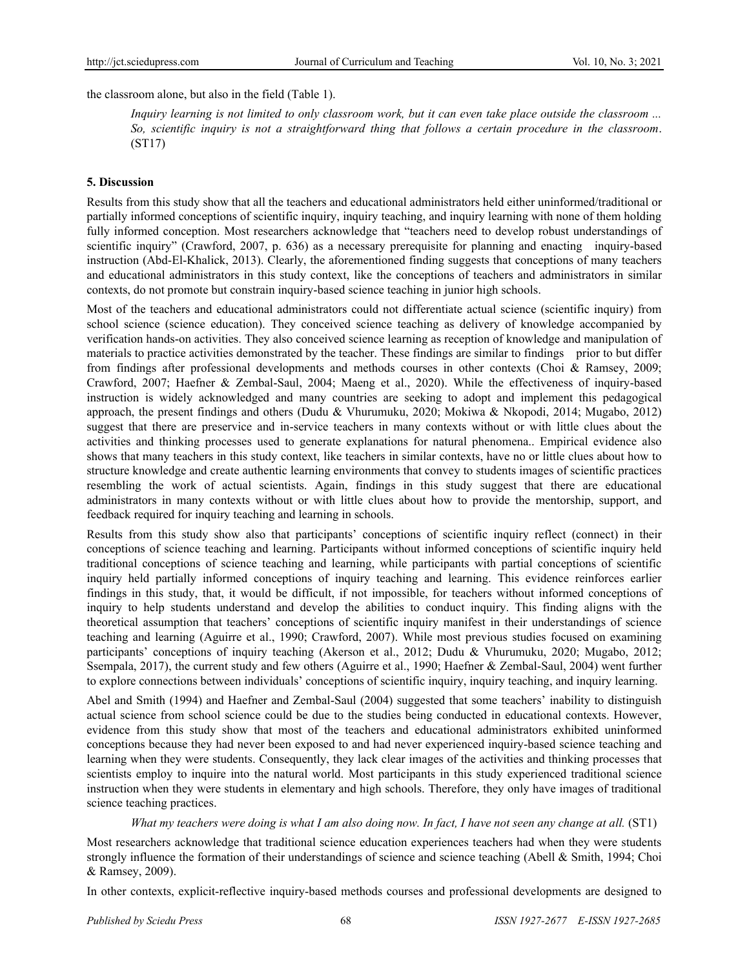the classroom alone, but also in the field (Table 1).

*Inquiry learning is not limited to only classroom work, but it can even take place outside the classroom ... So, scientific inquiry is not a straightforward thing that follows a certain procedure in the classroom*. (ST17)

#### **5. Discussion**

Results from this study show that all the teachers and educational administrators held either uninformed/traditional or partially informed conceptions of scientific inquiry, inquiry teaching, and inquiry learning with none of them holding fully informed conception. Most researchers acknowledge that "teachers need to develop robust understandings of scientific inquiry" (Crawford, 2007, p. 636) as a necessary prerequisite for planning and enacting inquiry-based instruction (Abd-El-Khalick, 2013). Clearly, the aforementioned finding suggests that conceptions of many teachers and educational administrators in this study context, like the conceptions of teachers and administrators in similar contexts, do not promote but constrain inquiry-based science teaching in junior high schools.

Most of the teachers and educational administrators could not differentiate actual science (scientific inquiry) from school science (science education). They conceived science teaching as delivery of knowledge accompanied by verification hands-on activities. They also conceived science learning as reception of knowledge and manipulation of materials to practice activities demonstrated by the teacher. These findings are similar to findings prior to but differ from findings after professional developments and methods courses in other contexts (Choi & Ramsey, 2009; Crawford, 2007; Haefner & Zembal-Saul, 2004; Maeng et al., 2020). While the effectiveness of inquiry-based instruction is widely acknowledged and many countries are seeking to adopt and implement this pedagogical approach, the present findings and others (Dudu & Vhurumuku, 2020; Mokiwa & Nkopodi, 2014; Mugabo, 2012) suggest that there are preservice and in-service teachers in many contexts without or with little clues about the activities and thinking processes used to generate explanations for natural phenomena.. Empirical evidence also shows that many teachers in this study context, like teachers in similar contexts, have no or little clues about how to structure knowledge and create authentic learning environments that convey to students images of scientific practices resembling the work of actual scientists. Again, findings in this study suggest that there are educational administrators in many contexts without or with little clues about how to provide the mentorship, support, and feedback required for inquiry teaching and learning in schools.

Results from this study show also that participants' conceptions of scientific inquiry reflect (connect) in their conceptions of science teaching and learning. Participants without informed conceptions of scientific inquiry held traditional conceptions of science teaching and learning, while participants with partial conceptions of scientific inquiry held partially informed conceptions of inquiry teaching and learning. This evidence reinforces earlier findings in this study, that, it would be difficult, if not impossible, for teachers without informed conceptions of inquiry to help students understand and develop the abilities to conduct inquiry. This finding aligns with the theoretical assumption that teachers' conceptions of scientific inquiry manifest in their understandings of science teaching and learning (Aguirre et al., 1990; Crawford, 2007). While most previous studies focused on examining participants' conceptions of inquiry teaching (Akerson et al., 2012; Dudu & Vhurumuku, 2020; Mugabo, 2012; Ssempala, 2017), the current study and few others (Aguirre et al., 1990; Haefner & Zembal-Saul, 2004) went further to explore connections between individuals' conceptions of scientific inquiry, inquiry teaching, and inquiry learning.

Abel and Smith (1994) and Haefner and Zembal-Saul (2004) suggested that some teachers' inability to distinguish actual science from school science could be due to the studies being conducted in educational contexts. However, evidence from this study show that most of the teachers and educational administrators exhibited uninformed conceptions because they had never been exposed to and had never experienced inquiry-based science teaching and learning when they were students. Consequently, they lack clear images of the activities and thinking processes that scientists employ to inquire into the natural world. Most participants in this study experienced traditional science instruction when they were students in elementary and high schools. Therefore, they only have images of traditional science teaching practices.

#### *What my teachers were doing is what I am also doing now. In fact, I have not seen any change at all.* (ST1)

Most researchers acknowledge that traditional science education experiences teachers had when they were students strongly influence the formation of their understandings of science and science teaching (Abell & Smith, 1994; Choi & Ramsey, 2009).

In other contexts, explicit-reflective inquiry-based methods courses and professional developments are designed to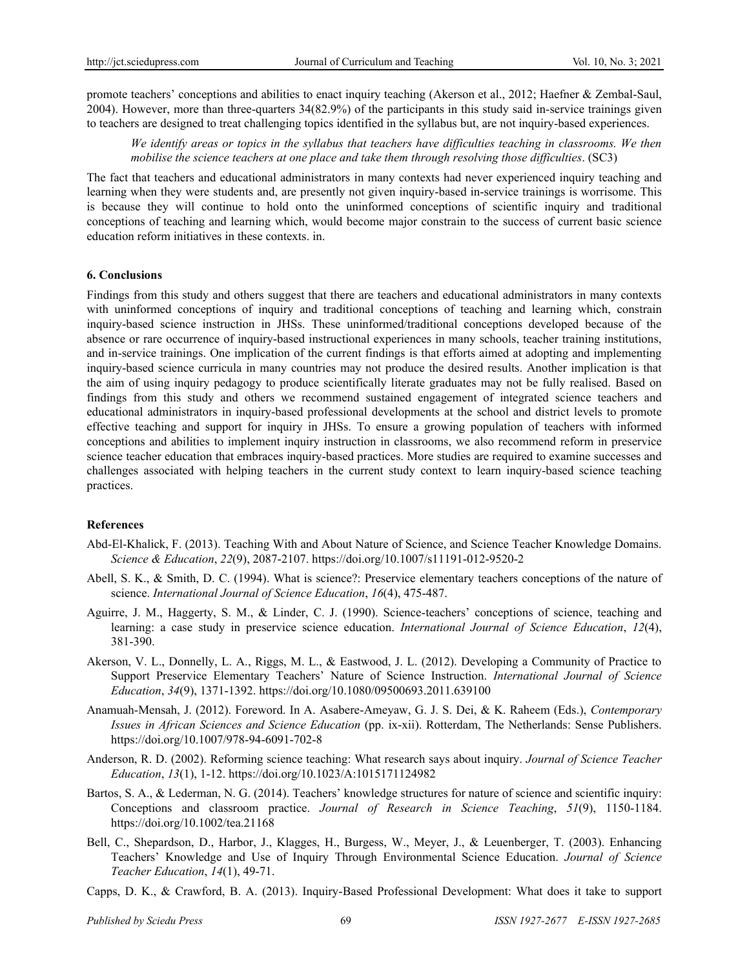promote teachers' conceptions and abilities to enact inquiry teaching (Akerson et al., 2012; Haefner & Zembal-Saul, 2004). However, more than three-quarters 34(82.9%) of the participants in this study said in-service trainings given to teachers are designed to treat challenging topics identified in the syllabus but, are not inquiry-based experiences.

*We identify areas or topics in the syllabus that teachers have difficulties teaching in classrooms. We then mobilise the science teachers at one place and take them through resolving those difficulties*. (SC3)

The fact that teachers and educational administrators in many contexts had never experienced inquiry teaching and learning when they were students and, are presently not given inquiry-based in-service trainings is worrisome. This is because they will continue to hold onto the uninformed conceptions of scientific inquiry and traditional conceptions of teaching and learning which, would become major constrain to the success of current basic science education reform initiatives in these contexts. in.

#### **6. Conclusions**

Findings from this study and others suggest that there are teachers and educational administrators in many contexts with uninformed conceptions of inquiry and traditional conceptions of teaching and learning which, constrain inquiry-based science instruction in JHSs. These uninformed/traditional conceptions developed because of the absence or rare occurrence of inquiry-based instructional experiences in many schools, teacher training institutions, and in-service trainings. One implication of the current findings is that efforts aimed at adopting and implementing inquiry-based science curricula in many countries may not produce the desired results. Another implication is that the aim of using inquiry pedagogy to produce scientifically literate graduates may not be fully realised. Based on findings from this study and others we recommend sustained engagement of integrated science teachers and educational administrators in inquiry-based professional developments at the school and district levels to promote effective teaching and support for inquiry in JHSs. To ensure a growing population of teachers with informed conceptions and abilities to implement inquiry instruction in classrooms, we also recommend reform in preservice science teacher education that embraces inquiry-based practices. More studies are required to examine successes and challenges associated with helping teachers in the current study context to learn inquiry-based science teaching practices.

#### **References**

- Abd-El-Khalick, F. (2013). Teaching With and About Nature of Science, and Science Teacher Knowledge Domains. *Science & Education*, *22*(9), 2087-2107. https://doi.org/10.1007/s11191-012-9520-2
- Abell, S. K., & Smith, D. C. (1994). What is science?: Preservice elementary teachers conceptions of the nature of science. *International Journal of Science Education*, *16*(4), 475-487.
- Aguirre, J. M., Haggerty, S. M., & Linder, C. J. (1990). Science-teachers' conceptions of science, teaching and learning: a case study in preservice science education. *International Journal of Science Education*, *12*(4), 381-390.
- Akerson, V. L., Donnelly, L. A., Riggs, M. L., & Eastwood, J. L. (2012). Developing a Community of Practice to Support Preservice Elementary Teachers' Nature of Science Instruction. *International Journal of Science Education*, *34*(9), 1371-1392. https://doi.org/10.1080/09500693.2011.639100
- Anamuah-Mensah, J. (2012). Foreword. In A. Asabere-Ameyaw, G. J. S. Dei, & K. Raheem (Eds.), *Contemporary Issues in African Sciences and Science Education* (pp. ix-xii). Rotterdam, The Netherlands: Sense Publishers. https://doi.org/10.1007/978-94-6091-702-8
- Anderson, R. D. (2002). Reforming science teaching: What research says about inquiry. *Journal of Science Teacher Education*, *13*(1), 1-12. https://doi.org/10.1023/A:1015171124982
- Bartos, S. A., & Lederman, N. G. (2014). Teachers' knowledge structures for nature of science and scientific inquiry: Conceptions and classroom practice. *Journal of Research in Science Teaching*, *51*(9), 1150-1184. https://doi.org/10.1002/tea.21168
- Bell, C., Shepardson, D., Harbor, J., Klagges, H., Burgess, W., Meyer, J., & Leuenberger, T. (2003). Enhancing Teachers' Knowledge and Use of Inquiry Through Environmental Science Education. *Journal of Science Teacher Education*, *14*(1), 49-71.
- Capps, D. K., & Crawford, B. A. (2013). Inquiry-Based Professional Development: What does it take to support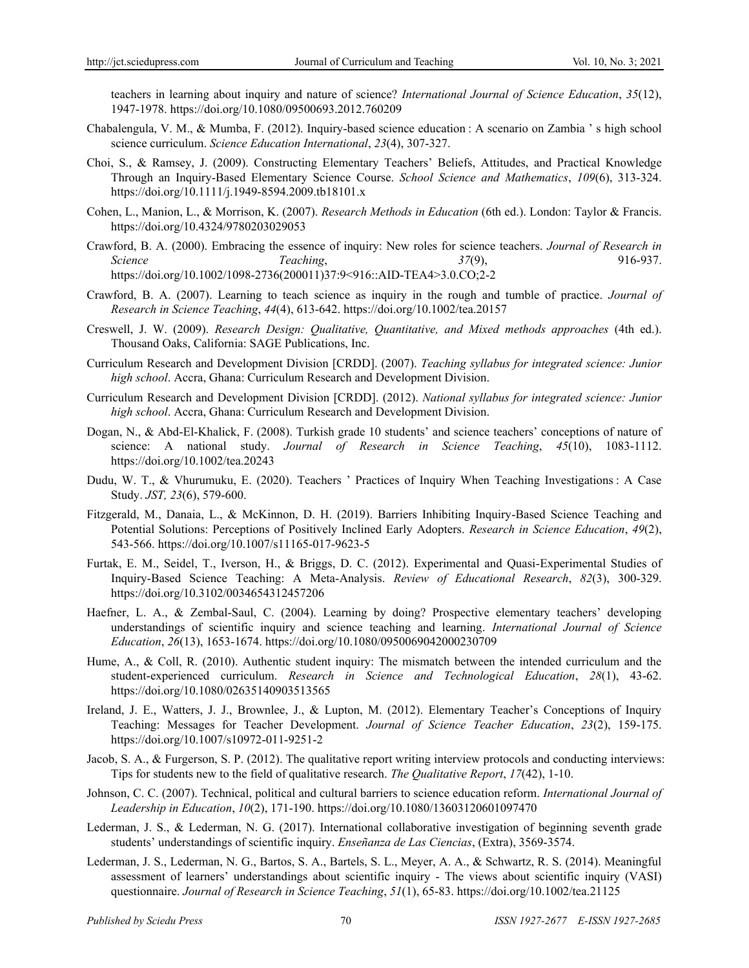teachers in learning about inquiry and nature of science? *International Journal of Science Education*, *35*(12), 1947-1978. https://doi.org/10.1080/09500693.2012.760209

- Chabalengula, V. M., & Mumba, F. (2012). Inquiry-based science education : A scenario on Zambia ' s high school science curriculum. *Science Education International*, *23*(4), 307-327.
- Choi, S., & Ramsey, J. (2009). Constructing Elementary Teachers' Beliefs, Attitudes, and Practical Knowledge Through an Inquiry-Based Elementary Science Course. *School Science and Mathematics*, *109*(6), 313-324. https://doi.org/10.1111/j.1949-8594.2009.tb18101.x
- Cohen, L., Manion, L., & Morrison, K. (2007). *Research Methods in Education* (6th ed.). London: Taylor & Francis. https://doi.org/10.4324/9780203029053
- Crawford, B. A. (2000). Embracing the essence of inquiry: New roles for science teachers. *Journal of Research in Science Teaching*, *37*(9), 916-937. https://doi.org/10.1002/1098-2736(200011)37:9<916::AID-TEA4>3.0.CO;2-2
- Crawford, B. A. (2007). Learning to teach science as inquiry in the rough and tumble of practice. *Journal of Research in Science Teaching*, *44*(4), 613-642. https://doi.org/10.1002/tea.20157
- Creswell, J. W. (2009). *Research Design: Qualitative, Quantitative, and Mixed methods approaches* (4th ed.). Thousand Oaks, California: SAGE Publications, Inc.
- Curriculum Research and Development Division [CRDD]. (2007). *Teaching syllabus for integrated science: Junior high school*. Accra, Ghana: Curriculum Research and Development Division.
- Curriculum Research and Development Division [CRDD]. (2012). *National syllabus for integrated science: Junior high school*. Accra, Ghana: Curriculum Research and Development Division.
- Dogan, N., & Abd-El-Khalick, F. (2008). Turkish grade 10 students' and science teachers' conceptions of nature of science: A national study. *Journal of Research in Science Teaching*, *45*(10), 1083-1112. https://doi.org/10.1002/tea.20243
- Dudu, W. T., & Vhurumuku, E. (2020). Teachers ' Practices of Inquiry When Teaching Investigations : A Case Study. *JST, 23*(6), 579-600.
- Fitzgerald, M., Danaia, L., & McKinnon, D. H. (2019). Barriers Inhibiting Inquiry-Based Science Teaching and Potential Solutions: Perceptions of Positively Inclined Early Adopters. *Research in Science Education*, *49*(2), 543-566. https://doi.org/10.1007/s11165-017-9623-5
- Furtak, E. M., Seidel, T., Iverson, H., & Briggs, D. C. (2012). Experimental and Quasi-Experimental Studies of Inquiry-Based Science Teaching: A Meta-Analysis. *Review of Educational Research*, *82*(3), 300-329. https://doi.org/10.3102/0034654312457206
- Haefner, L. A., & Zembal-Saul, C. (2004). Learning by doing? Prospective elementary teachers' developing understandings of scientific inquiry and science teaching and learning. *International Journal of Science Education*, *26*(13), 1653-1674. https://doi.org/10.1080/0950069042000230709
- Hume, A., & Coll, R. (2010). Authentic student inquiry: The mismatch between the intended curriculum and the student-experienced curriculum. *Research in Science and Technological Education*, *28*(1), 43-62. https://doi.org/10.1080/02635140903513565
- Ireland, J. E., Watters, J. J., Brownlee, J., & Lupton, M. (2012). Elementary Teacher's Conceptions of Inquiry Teaching: Messages for Teacher Development. *Journal of Science Teacher Education*, *23*(2), 159-175. https://doi.org/10.1007/s10972-011-9251-2
- Jacob, S. A., & Furgerson, S. P. (2012). The qualitative report writing interview protocols and conducting interviews: Tips for students new to the field of qualitative research. *The Qualitative Report*, *17*(42), 1-10.
- Johnson, C. C. (2007). Technical, political and cultural barriers to science education reform. *International Journal of Leadership in Education*, *10*(2), 171-190. https://doi.org/10.1080/13603120601097470
- Lederman, J. S., & Lederman, N. G. (2017). International collaborative investigation of beginning seventh grade students' understandings of scientific inquiry. *Enseñanza de Las Ciencias*, (Extra), 3569-3574.
- Lederman, J. S., Lederman, N. G., Bartos, S. A., Bartels, S. L., Meyer, A. A., & Schwartz, R. S. (2014). Meaningful assessment of learners' understandings about scientific inquiry - The views about scientific inquiry (VASI) questionnaire. *Journal of Research in Science Teaching*, *51*(1), 65-83. https://doi.org/10.1002/tea.21125